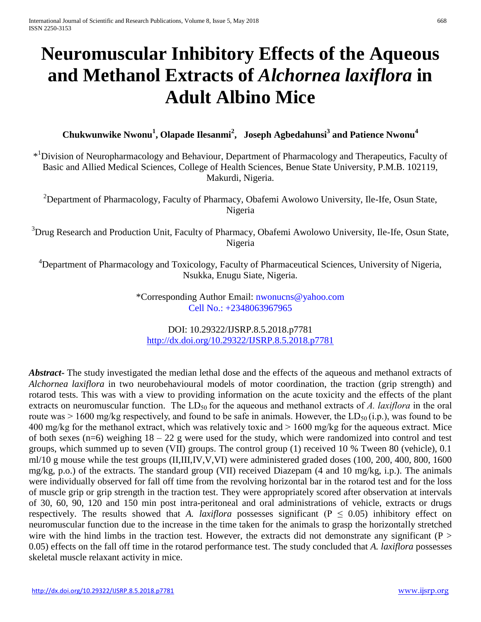# **Neuromuscular Inhibitory Effects of the Aqueous and Methanol Extracts of** *Alchornea laxiflora* **in Adult Albino Mice**

**Chukwunwike Nwonu<sup>1</sup> , Olapade Ilesanmi 2 , Joseph Agbedahunsi 3 and Patience Nwonu<sup>4</sup>**

\*<sup>1</sup>Division of Neuropharmacology and Behaviour, Department of Pharmacology and Therapeutics, Faculty of Basic and Allied Medical Sciences, College of Health Sciences, Benue State University, P.M.B. 102119, Makurdi, Nigeria.

<sup>2</sup>Department of Pharmacology, Faculty of Pharmacy, Obafemi Awolowo University, Ile-Ife, Osun State, Nigeria

<sup>3</sup>Drug Research and Production Unit, Faculty of Pharmacy, Obafemi Awolowo University, Ile-Ife, Osun State, Nigeria

<sup>4</sup>Department of Pharmacology and Toxicology, Faculty of Pharmaceutical Sciences, University of Nigeria, Nsukka, Enugu Siate, Nigeria.

> \*Corresponding Author Email: [nwonucns@yahoo.com](mailto:nwonucns@yahoo.com) Cell No.: +2348063967965

DOI: 10.29322/IJSRP.8.5.2018.p7781 <http://dx.doi.org/10.29322/IJSRP.8.5.2018.p7781>

*Abstract***-** The study investigated the median lethal dose and the effects of the aqueous and methanol extracts of *Alchornea laxiflora* in two neurobehavioural models of motor coordination, the traction (grip strength) and rotarod tests. This was with a view to providing information on the acute toxicity and the effects of the plant extracts on neuromuscular function. The  $LD_{50}$  for the aqueous and methanol extracts of *A. laxiflora* in the oral route was  $> 1600$  mg/kg respectively, and found to be safe in animals. However, the LD<sub>50</sub> (i.p.), was found to be 400 mg/kg for the methanol extract, which was relatively toxic and > 1600 mg/kg for the aqueous extract. Mice of both sexes (n=6) weighing  $18 - 22$  g were used for the study, which were randomized into control and test groups, which summed up to seven (VII) groups. The control group (1) received 10 % Tween 80 (vehicle), 0.1 ml/10 g mouse while the test groups (II,III,IV,V,VI) were administered graded doses (100, 200, 400, 800, 1600 mg/kg, p.o.) of the extracts. The standard group (VII) received Diazepam (4 and 10 mg/kg, i.p.). The animals were individually observed for fall off time from the revolving horizontal bar in the rotarod test and for the loss of muscle grip or grip strength in the traction test. They were appropriately scored after observation at intervals of 30, 60, 90, 120 and 150 min post intra-peritoneal and oral administrations of vehicle, extracts or drugs respectively. The results showed that *A. laxiflora* possesses significant ( $P \le 0.05$ ) inhibitory effect on neuromuscular function due to the increase in the time taken for the animals to grasp the horizontally stretched wire with the hind limbs in the traction test. However, the extracts did not demonstrate any significant ( $P >$ 0.05) effects on the fall off time in the rotarod performance test. The study concluded that *A. laxiflora* possesses skeletal muscle relaxant activity in mice.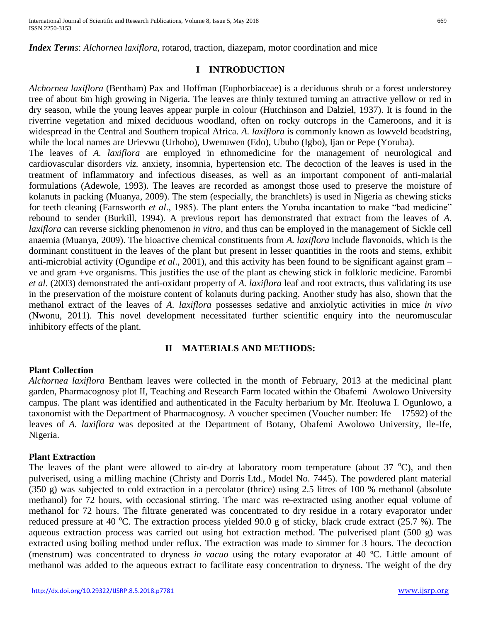*Index Terms*: *Alchornea laxiflora*, rotarod, traction, diazepam, motor coordination and mice

## **I INTRODUCTION**

*Alchornea laxiflora* (Bentham) Pax and Hoffman (Euphorbiaceae) is a deciduous shrub or a forest understorey tree of about 6m high growing in Nigeria. The leaves are thinly textured turning an attractive yellow or red in dry season, while the young leaves appear purple in colour (Hutchinson and Dalziel, 1937). It is found in the riverrine vegetation and mixed deciduous woodland, often on rocky outcrops in the Cameroons, and it is widespread in the Central and Southern tropical Africa. *A. laxiflora* is commonly known as lowveld beadstring, while the local names are Urievwu (Urhobo), Uwenuwen (Edo), Ububo (Igbo), Ijan or Pepe (Yoruba).

The leaves of *A. laxiflora* are employed in ethnomedicine for the management of neurological and cardiovascular disorders *viz.* anxiety, insomnia, hypertension etc. The decoction of the leaves is used in the treatment of inflammatory and infectious diseases, as well as an important component of anti-malarial formulations (Adewole, 1993). The leaves are recorded as amongst those used to preserve the moisture of kolanuts in packing (Muanya, 2009). The stem (especially, the branchlets) is used in Nigeria as chewing sticks for teeth cleaning (Farnsworth *et al*., 1985). The plant enters the Yoruba incantation to make "bad medicine" rebound to sender (Burkill, 1994). A previous report has demonstrated that extract from the leaves of *A. laxiflora* can reverse sickling phenomenon *in vitro*, and thus can be employed in the management of Sickle cell anaemia (Muanya, 2009). The bioactive chemical constituents from *A. laxiflora* include flavonoids, which is the dorminant constituent in the leaves of the plant but present in lesser quantities in the roots and stems, exhibit anti-microbial activity (Ogundipe *et al*., 2001), and this activity has been found to be significant against gram – ve and gram +ve organisms. This justifies the use of the plant as chewing stick in folkloric medicine. Farombi *et al*. (2003) demonstrated the anti-oxidant property of *A. laxiflora* leaf and root extracts, thus validating its use in the preservation of the moisture content of kolanuts during packing. Another study has also, shown that the methanol extract of the leaves of *A. laxiflora* possesses sedative and anxiolytic activities in mice *in vivo* (Nwonu, 2011). This novel development necessitated further scientific enquiry into the neuromuscular inhibitory effects of the plant.

# **II MATERIALS AND METHODS:**

## **Plant Collection**

*Alchornea laxiflora* Bentham leaves were collected in the month of February, 2013 at the medicinal plant garden, Pharmacognosy plot II, Teaching and Research Farm located within the Obafemi Awolowo University campus. The plant was identified and authenticated in the Faculty herbarium by Mr. Ifeoluwa I. Ogunlowo, a taxonomist with the Department of Pharmacognosy. A voucher specimen (Voucher number: Ife – 17592) of the leaves of *A. laxiflora* was deposited at the Department of Botany, Obafemi Awolowo University, Ile-Ife, Nigeria.

## **Plant Extraction**

The leaves of the plant were allowed to air-dry at laboratory room temperature (about  $37^{\circ}$ C), and then pulverised, using a milling machine (Christy and Dorris Ltd., Model No. 7445). The powdered plant material (350 g) was subjected to cold extraction in a percolator (thrice) using 2.5 litres of 100 % methanol (absolute methanol) for 72 hours, with occasional stirring. The marc was re-extracted using another equal volume of methanol for 72 hours. The filtrate generated was concentrated to dry residue in a rotary evaporator under reduced pressure at 40 °C. The extraction process yielded 90.0 g of sticky, black crude extract (25.7 %). The aqueous extraction process was carried out using hot extraction method. The pulverised plant (500 g) was extracted using boiling method under reflux. The extraction was made to simmer for 3 hours. The decoction (menstrum) was concentrated to dryness *in vacuo* using the rotary evaporator at 40 ºC. Little amount of methanol was added to the aqueous extract to facilitate easy concentration to dryness. The weight of the dry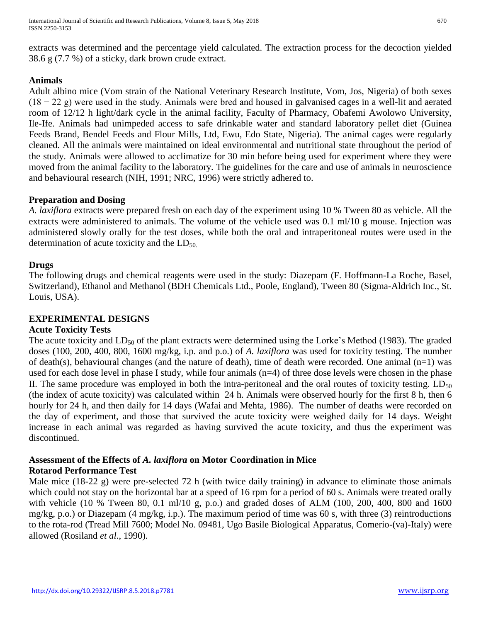extracts was determined and the percentage yield calculated. The extraction process for the decoction yielded 38.6 g (7.7 %) of a sticky, dark brown crude extract.

# **Animals**

Adult albino mice (Vom strain of the National Veterinary Research Institute, Vom, Jos, Nigeria) of both sexes (18 − 22 g) were used in the study. Animals were bred and housed in galvanised cages in a well-lit and aerated room of 12/12 h light/dark cycle in the animal facility, Faculty of Pharmacy, Obafemi Awolowo University, Ile-Ife. Animals had unimpeded access to safe drinkable water and standard laboratory pellet diet (Guinea Feeds Brand, Bendel Feeds and Flour Mills, Ltd, Ewu, Edo State, Nigeria). The animal cages were regularly cleaned. All the animals were maintained on ideal environmental and nutritional state throughout the period of the study. Animals were allowed to acclimatize for 30 min before being used for experiment where they were moved from the animal facility to the laboratory. The guidelines for the care and use of animals in neuroscience and behavioural research (NIH, 1991; NRC, 1996) were strictly adhered to.

# **Preparation and Dosing**

*A. laxiflora* extracts were prepared fresh on each day of the experiment using 10 % Tween 80 as vehicle. All the extracts were administered to animals. The volume of the vehicle used was 0.1 ml/10 g mouse. Injection was administered slowly orally for the test doses, while both the oral and intraperitoneal routes were used in the determination of acute toxicity and the  $LD_{50}$ .

# **Drugs**

The following drugs and chemical reagents were used in the study: Diazepam (F. Hoffmann-La Roche, Basel, Switzerland), Ethanol and Methanol (BDH Chemicals Ltd., Poole, England), Tween 80 (Sigma-Aldrich Inc., St. Louis, USA).

# **EXPERIMENTAL DESIGNS**

# **Acute Toxicity Tests**

The acute toxicity and  $LD_{50}$  of the plant extracts were determined using the Lorke's Method (1983). The graded doses (100, 200, 400, 800, 1600 mg/kg, i.p. and p.o.) of *A. laxiflora* was used for toxicity testing. The number of death(s), behavioural changes (and the nature of death), time of death were recorded. One animal (n=1) was used for each dose level in phase I study, while four animals (n=4) of three dose levels were chosen in the phase II. The same procedure was employed in both the intra-peritoneal and the oral routes of toxicity testing.  $LD_{50}$ (the index of acute toxicity) was calculated within 24 h. Animals were observed hourly for the first 8 h, then 6 hourly for 24 h, and then daily for 14 days (Wafai and Mehta, 1986). The number of deaths were recorded on the day of experiment, and those that survived the acute toxicity were weighed daily for 14 days. Weight increase in each animal was regarded as having survived the acute toxicity, and thus the experiment was discontinued.

# **Assessment of the Effects of** *A. laxiflora* **on Motor Coordination in Mice Rotarod Performance Test**

Male mice (18-22 g) were pre-selected 72 h (with twice daily training) in advance to eliminate those animals which could not stay on the horizontal bar at a speed of 16 rpm for a period of 60 s. Animals were treated orally with vehicle (10 % Tween 80, 0.1 ml/10 g, p.o.) and graded doses of ALM (100, 200, 400, 800 and 1600 mg/kg, p.o.) or Diazepam (4 mg/kg, i.p.). The maximum period of time was 60 s, with three (3) reintroductions to the rota-rod (Tread Mill 7600; Model No. 09481, Ugo Basile Biological Apparatus, Comerio-(va)-Italy) were allowed (Rosiland *et al*., 1990).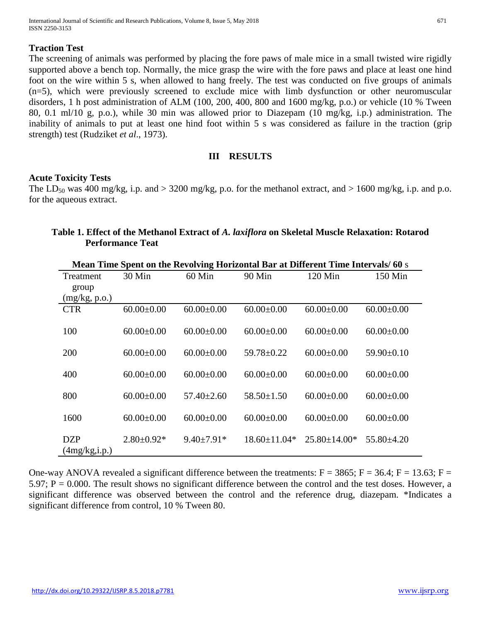## **Traction Test**

The screening of animals was performed by placing the fore paws of male mice in a small twisted wire rigidly supported above a bench top. Normally, the mice grasp the wire with the fore paws and place at least one hind foot on the wire within 5 s, when allowed to hang freely. The test was conducted on five groups of animals (n=5), which were previously screened to exclude mice with limb dysfunction or other neuromuscular disorders, 1 h post administration of ALM (100, 200, 400, 800 and 1600 mg/kg, p.o.) or vehicle (10 % Tween 80, 0.1 ml/10 g, p.o.), while 30 min was allowed prior to Diazepam (10 mg/kg, i.p.) administration. The inability of animals to put at least one hind foot within 5 s was considered as failure in the traction (grip strength) test (Rudziket *et al*., 1973).

#### **III RESULTS**

## **Acute Toxicity Tests**

The LD<sub>50</sub> was 400 mg/kg, i.p. and > 3200 mg/kg, p.o. for the methanol extract, and > 1600 mg/kg, i.p. and p.o. for the aqueous extract.

| Mean Time Spent on the Revolving Horizontal Bar at Different Time Intervals/ 60 s |                  |                  |                  |                  |                  |
|-----------------------------------------------------------------------------------|------------------|------------------|------------------|------------------|------------------|
| Treatment                                                                         | 30 Min           | $60$ Min         | 90 Min           | 120 Min          | 150 Min          |
| group                                                                             |                  |                  |                  |                  |                  |
| (mg/kg, p.o.)                                                                     |                  |                  |                  |                  |                  |
| <b>CTR</b>                                                                        | $60.00 \pm 0.00$ | $60.00 \pm 0.00$ | $60.00 \pm 0.00$ | $60.00 \pm 0.00$ | $60.00 \pm 0.00$ |
|                                                                                   |                  |                  |                  |                  |                  |
| 100                                                                               | $60.00 \pm 0.00$ | $60.00 \pm 0.00$ | $60.00 \pm 0.00$ | $60.00 \pm 0.00$ | $60.00 \pm 0.00$ |
|                                                                                   |                  |                  |                  |                  |                  |
| 200                                                                               | $60.00 \pm 0.00$ | $60.00 \pm 0.00$ | $59.78 \pm 0.22$ | $60.00 \pm 0.00$ | $59.90+0.10$     |
|                                                                                   |                  |                  |                  |                  |                  |
| 400                                                                               | $60.00 \pm 0.00$ | $60.00 \pm 0.00$ | $60.00 \pm 0.00$ | $60.00 \pm 0.00$ | $60.00 \pm 0.00$ |
|                                                                                   |                  |                  |                  |                  |                  |
| 800                                                                               | $60.00 \pm 0.00$ | $57.40 + 2.60$   | $58.50 \pm 1.50$ | $60.00 \pm 0.00$ | $60.00 \pm 0.00$ |
|                                                                                   |                  |                  |                  |                  |                  |
| 1600                                                                              | $60.00 \pm 0.00$ | $60.00 \pm 0.00$ | $60.00 \pm 0.00$ | $60.00 \pm 0.00$ | $60.00 \pm 0.00$ |
|                                                                                   |                  |                  |                  |                  |                  |
| <b>DZP</b>                                                                        | $2.80 \pm 0.92*$ | $9.40+7.91*$     | $18.60 + 11.04*$ | $25.80 + 14.00*$ | $55.80\pm4.20$   |
| (4mg/kg,i.p.)                                                                     |                  |                  |                  |                  |                  |
|                                                                                   |                  |                  |                  |                  |                  |

|                         | Table 1. Effect of the Methanol Extract of A. laxiflora on Skeletal Muscle Relaxation: Rotarod |
|-------------------------|------------------------------------------------------------------------------------------------|
| <b>Performance Teat</b> |                                                                                                |

One-way ANOVA revealed a significant difference between the treatments:  $F = 3865$ ;  $F = 36.4$ ;  $F = 13.63$ ;  $F =$  $5.97$ ;  $P = 0.000$ . The result shows no significant difference between the control and the test doses. However, a significant difference was observed between the control and the reference drug, diazepam. \*Indicates a significant difference from control, 10 % Tween 80.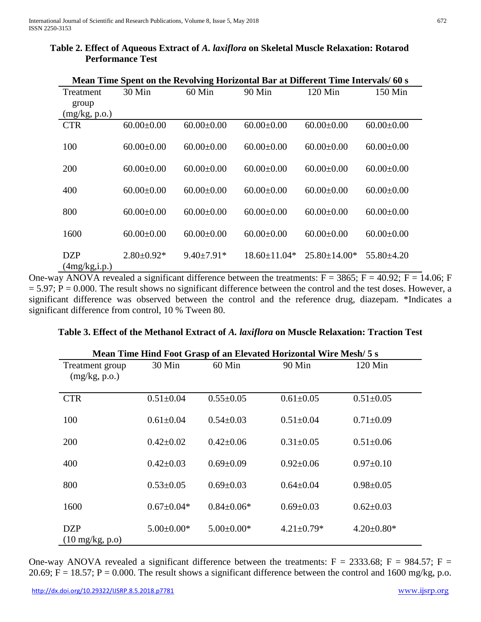| Mean Time Spent on the Revolving Horizontal Bar at Different Time Intervals/ 60 s |                  |                  |                    |                    |                  |
|-----------------------------------------------------------------------------------|------------------|------------------|--------------------|--------------------|------------------|
| Treatment                                                                         | 30 Min           | $60$ Min         | 90 Min             | $120$ Min          | $150$ Min        |
| group                                                                             |                  |                  |                    |                    |                  |
| (mg/kg, p.o.)                                                                     |                  |                  |                    |                    |                  |
| <b>CTR</b>                                                                        | $60.00 \pm 0.00$ | $60.00 \pm 0.00$ | $60.00 \pm 0.00$   | $60.00 \pm 0.00$   | $60.00 \pm 0.00$ |
| 100                                                                               | $60.00 \pm 0.00$ | $60.00 \pm 0.00$ | $60.00 \pm 0.00$   | $60.00 \pm 0.00$   | $60.00 \pm 0.00$ |
| 200                                                                               | $60.00 \pm 0.00$ | $60.00 \pm 0.00$ | $60.00 \pm 0.00$   | $60.00 \pm 0.00$   | $60.00 \pm 0.00$ |
| 400                                                                               | $60.00 \pm 0.00$ | $60.00 \pm 0.00$ | $60.00 \pm 0.00$   | $60.00 \pm 0.00$   | $60.00 \pm 0.00$ |
| 800                                                                               | $60.00 \pm 0.00$ | $60.00 \pm 0.00$ | $60.00 \pm 0.00$   | $60.00 \pm 0.00$   | $60.00 \pm 0.00$ |
| 1600                                                                              | $60.00 \pm 0.00$ | $60.00 \pm 0.00$ | $60.00 \pm 0.00$   | $60.00 \pm 0.00$   | $60.00 \pm 0.00$ |
| <b>DZP</b><br>(4mg/kg,i.p.)                                                       | $2.80 \pm 0.92*$ | $9.40 \pm 7.91*$ | $18.60 \pm 11.04*$ | $25.80 \pm 14.00*$ | $55.80 \pm 4.20$ |

## **Table 2. Effect of Aqueous Extract of** *A. laxiflora* **on Skeletal Muscle Relaxation: Rotarod Performance Test**

One-way ANOVA revealed a significant difference between the treatments:  $F = 3865$ ;  $F = 40.92$ ;  $F = 14.06$ ; F  $= 5.97$ ;  $P = 0.000$ . The result shows no significant difference between the control and the test doses. However, a significant difference was observed between the control and the reference drug, diazepam. \*Indicates a significant difference from control, 10 % Tween 80.

| Mean Time Hind Foot Grasp of an Elevated Horizontal Wire Mesh/ 5 S |                  |                  |                  |                  |  |
|--------------------------------------------------------------------|------------------|------------------|------------------|------------------|--|
| Treatment group<br>(mg/kg, p.o.)                                   | 30 Min           | 60 Min           | 90 Min           | 120 Min          |  |
| <b>CTR</b>                                                         | $0.51 \pm 0.04$  | $0.55 \pm 0.05$  | $0.61 \pm 0.05$  | $0.51 \pm 0.05$  |  |
| 100                                                                | $0.61 \pm 0.04$  | $0.54 \pm 0.03$  | $0.51 \pm 0.04$  | $0.71 \pm 0.09$  |  |
| 200                                                                | $0.42 \pm 0.02$  | $0.42 \pm 0.06$  | $0.31 \pm 0.05$  | $0.51 \pm 0.06$  |  |
| 400                                                                | $0.42 \pm 0.03$  | $0.69 \pm 0.09$  | $0.92 \pm 0.06$  | $0.97 \pm 0.10$  |  |
| 800                                                                | $0.53 \pm 0.05$  | $0.69 \pm 0.03$  | $0.64 \pm 0.04$  | $0.98 \pm 0.05$  |  |
| 1600                                                               | $0.67 \pm 0.04*$ | $0.84 \pm 0.06*$ | $0.69 \pm 0.03$  | $0.62 \pm 0.03$  |  |
| <b>DZP</b><br>$(10 \text{ mg/kg}, \text{p.o})$                     | $5.00 \pm 0.00*$ | $5.00 \pm 0.00*$ | $4.21 \pm 0.79*$ | $4.20 \pm 0.80*$ |  |

## **Table 3. Effect of the Methanol Extract of** *A. laxiflora* **on Muscle Relaxation: Traction Test**

 **Mean Time Hind Foot Grasp of an Elevated Horizontal Wire Mesh/ 5 s**

One-way ANOVA revealed a significant difference between the treatments:  $F = 2333.68$ ;  $F = 984.57$ ;  $F =$ 20.69;  $F = 18.57$ ;  $P = 0.000$ . The result shows a significant difference between the control and 1600 mg/kg, p.o.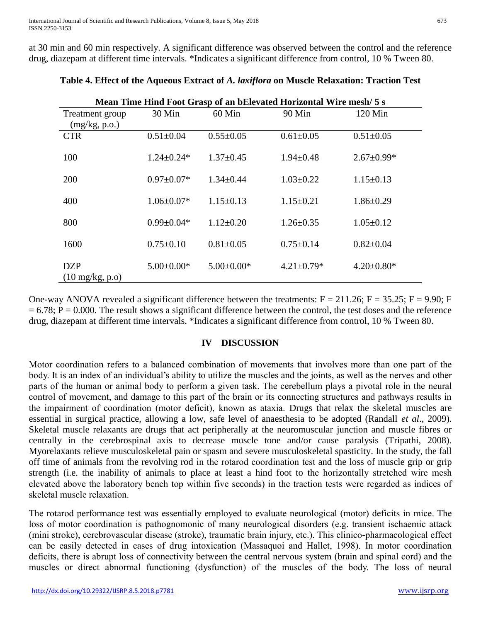at 30 min and 60 min respectively. A significant difference was observed between the control and the reference drug, diazepam at different time intervals. \*Indicates a significant difference from control, 10 % Tween 80.

| Mean Time Hind Foot Grasp of an bElevated Horizontal Wire mesh/ 5 s |                  |                  |                  |                  |  |
|---------------------------------------------------------------------|------------------|------------------|------------------|------------------|--|
| Treatment group<br>(mg/kg, p.o.)                                    | 30 Min           | 60 Min           | 90 Min           | 120 Min          |  |
| <b>CTR</b>                                                          | $0.51 \pm 0.04$  | $0.55 \pm 0.05$  | $0.61 \pm 0.05$  | $0.51 \pm 0.05$  |  |
| 100                                                                 | $1.24 \pm 0.24*$ | $1.37 \pm 0.45$  | $1.94 \pm 0.48$  | $2.67 \pm 0.99*$ |  |
| 200                                                                 | $0.97 \pm 0.07*$ | $1.34 \pm 0.44$  | $1.03 \pm 0.22$  | $1.15 \pm 0.13$  |  |
| 400                                                                 | $1.06 \pm 0.07*$ | $1.15 \pm 0.13$  | $1.15 \pm 0.21$  | $1.86 \pm 0.29$  |  |
| 800                                                                 | $0.99 \pm 0.04*$ | $1.12 \pm 0.20$  | $1.26 \pm 0.35$  | $1.05 \pm 0.12$  |  |
| 1600                                                                | $0.75 \pm 0.10$  | $0.81 \pm 0.05$  | $0.75 \pm 0.14$  | $0.82 \pm 0.04$  |  |
| <b>DZP</b><br>$(10 \text{ mg/kg}, \text{p.o})$                      | $5.00 \pm 0.00*$ | $5.00 \pm 0.00*$ | $4.21 \pm 0.79*$ | $4.20 \pm 0.80*$ |  |

| Table 4. Effect of the Aqueous Extract of A. laxiflora on Muscle Relaxation: Traction Test |  |  |
|--------------------------------------------------------------------------------------------|--|--|
|                                                                                            |  |  |

One-way ANOVA revealed a significant difference between the treatments:  $F = 211.26$ ;  $F = 35.25$ ;  $F = 9.90$ ; F  $= 6.78$ ; P  $= 0.000$ . The result shows a significant difference between the control, the test doses and the reference drug, diazepam at different time intervals. \*Indicates a significant difference from control, 10 % Tween 80.

#### **IV DISCUSSION**

Motor coordination refers to a balanced combination of movements that involves more than one part of the body. It is an index of an individual's ability to utilize the muscles and the joints, as well as the nerves and other parts of the human or animal body to perform a given task. The cerebellum plays a pivotal role in the neural control of movement, and damage to this part of the brain or its connecting structures and pathways results in the impairment of coordination (motor deficit), known as ataxia. Drugs that relax the skeletal muscles are essential in surgical practice, allowing a low, safe level of anaesthesia to be adopted (Randall *et al*., 2009). Skeletal muscle relaxants are drugs that act peripherally at the neuromuscular junction and muscle fibres or centrally in the cerebrospinal axis to decrease muscle tone and/or cause paralysis (Tripathi, 2008). Myorelaxants relieve musculoskeletal pain or spasm and severe musculoskeletal spasticity. In the study, the fall off time of animals from the revolving rod in the rotarod coordination test and the loss of muscle grip or grip strength (i.e. the inability of animals to place at least a hind foot to the horizontally stretched wire mesh elevated above the laboratory bench top within five seconds) in the traction tests were regarded as indices of skeletal muscle relaxation.

The rotarod performance test was essentially employed to evaluate neurological (motor) deficits in mice. The loss of motor coordination is pathognomonic of many neurological disorders (e.g. transient ischaemic attack (mini stroke), cerebrovascular disease (stroke), traumatic brain injury, etc.). This clinico-pharmacological effect can be easily detected in cases of drug intoxication (Massaquoi and Hallet, 1998). In motor coordination deficits, there is abrupt loss of connectivity between the central nervous system (brain and spinal cord) and the muscles or direct abnormal functioning (dysfunction) of the muscles of the body. The loss of neural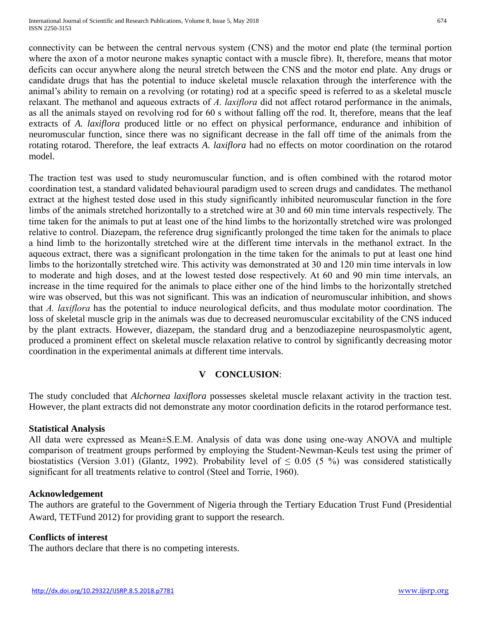International Journal of Scientific and Research Publications, Volume 8, Issue 5, May 2018 ISSN 2250-3153

connectivity can be between the central nervous system (CNS) and the motor end plate (the terminal portion where the axon of a motor neurone makes synaptic contact with a muscle fibre). It, therefore, means that motor deficits can occur anywhere along the neural stretch between the CNS and the motor end plate. Any drugs or candidate drugs that has the potential to induce skeletal muscle relaxation through the interference with the animal's ability to remain on a revolving (or rotating) rod at a specific speed is referred to as a skeletal muscle relaxant. The methanol and aqueous extracts of *A. laxiflora* did not affect rotarod performance in the animals, as all the animals stayed on revolving rod for 60 s without falling off the rod. It, therefore, means that the leaf extracts of *A. laxiflora* produced little or no effect on physical performance, endurance and inhibition of neuromuscular function, since there was no significant decrease in the fall off time of the animals from the rotating rotarod. Therefore, the leaf extracts *A. laxiflora* had no effects on motor coordination on the rotarod model.

The traction test was used to study neuromuscular function, and is often combined with the rotarod motor coordination test, a standard validated behavioural paradigm used to screen drugs and candidates. The methanol extract at the highest tested dose used in this study significantly inhibited neuromuscular function in the fore limbs of the animals stretched horizontally to a stretched wire at 30 and 60 min time intervals respectively. The time taken for the animals to put at least one of the hind limbs to the horizontally stretched wire was prolonged relative to control. Diazepam, the reference drug significantly prolonged the time taken for the animals to place a hind limb to the horizontally stretched wire at the different time intervals in the methanol extract. In the aqueous extract, there was a significant prolongation in the time taken for the animals to put at least one hind limbs to the horizontally stretched wire. This activity was demonstrated at 30 and 120 min time intervals in low to moderate and high doses, and at the lowest tested dose respectively. At 60 and 90 min time intervals, an increase in the time required for the animals to place either one of the hind limbs to the horizontally stretched wire was observed, but this was not significant. This was an indication of neuromuscular inhibition, and shows that *A. laxiflora* has the potential to induce neurological deficits, and thus modulate motor coordination. The loss of skeletal muscle grip in the animals was due to decreased neuromuscular excitability of the CNS induced by the plant extracts. However, diazepam, the standard drug and a benzodiazepine neurospasmolytic agent, produced a prominent effect on skeletal muscle relaxation relative to control by significantly decreasing motor coordination in the experimental animals at different time intervals.

## **V CONCLUSION**:

The study concluded that *Alchornea laxiflora* possesses skeletal muscle relaxant activity in the traction test. However, the plant extracts did not demonstrate any motor coordination deficits in the rotarod performance test.

#### **Statistical Analysis**

All data were expressed as Mean±S.E.M. Analysis of data was done using one-way ANOVA and multiple comparison of treatment groups performed by employing the Student-Newman-Keuls test using the primer of biostatistics (Version 3.01) (Glantz, 1992). Probability level of  $\leq$  0.05 (5 %) was considered statistically significant for all treatments relative to control (Steel and Torrie, 1960).

#### **Acknowledgement**

The authors are grateful to the Government of Nigeria through the Tertiary Education Trust Fund (Presidential Award, TETFund 2012) for providing grant to support the research.

## **Conflicts of interest**

The authors declare that there is no competing interests.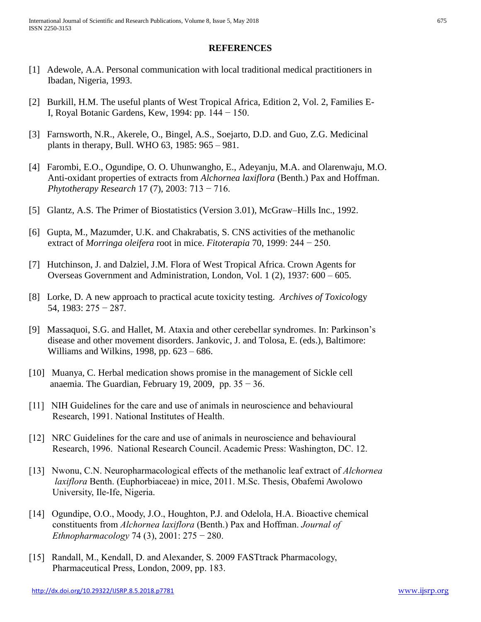#### **REFERENCES**

- [1] Adewole, A.A. Personal communication with local traditional medical practitioners in Ibadan, Nigeria, 1993.
- [2] Burkill, H.M. The useful plants of West Tropical Africa, Edition 2, Vol. 2, Families E- I, Royal Botanic Gardens, Kew, 1994: pp. 144 − 150.
- [3] Farnsworth, N.R., Akerele, O., Bingel, A.S., Soejarto, D.D. and Guo, Z.G. Medicinal plants in therapy, Bull. WHO 63, 1985: 965 – 981.
- [4] Farombi, E.O., Ogundipe, O. O. Uhunwangho, E., Adeyanju, M.A. and Olarenwaju, M.O. Anti-oxidant properties of extracts from *Alchornea laxiflora* (Benth.) Pax and Hoffman. *Phytotherapy Research* 17 (7), 2003: 713 − 716.
- [5] Glantz, A.S. The Primer of Biostatistics (Version 3.01), McGraw–Hills Inc., 1992.
- [6] Gupta, M., Mazumder, U.K. and Chakrabatis, S. CNS activities of the methanolic extract of *Morringa oleifera* root in mice. *Fitoterapia* 70, 1999: 244 − 250.
- [7] Hutchinson, J. and Dalziel, J.M. Flora of West Tropical Africa. Crown Agents for Overseas Government and Administration, London, Vol. 1 (2), 1937: 600 – 605.
- [8] Lorke, D. A new approach to practical acute toxicity testing. *Archives of Toxicol*ogy 54, 1983: 275 − 287.
- [9] Massaquoi, S.G. and Hallet, M. Ataxia and other cerebellar syndromes. In: Parkinson's disease and other movement disorders. Jankovic, J. and Tolosa, E. (eds.), Baltimore: Williams and Wilkins, 1998, pp.  $623 - 686$ .
- [10] Muanya, C. Herbal medication shows promise in the management of Sickle cell anaemia. The Guardian, February 19, 2009, pp.  $35 - 36$ .
- [11] NIH Guidelines for the care and use of animals in neuroscience and behavioural Research, 1991. National Institutes of Health.
- [12] NRC Guidelines for the care and use of animals in neuroscience and behavioural Research, 1996. National Research Council. Academic Press: Washington, DC. 12.
- [13] Nwonu, C.N. Neuropharmacological effects of the methanolic leaf extract of *Alchornea laxiflora* Benth. (Euphorbiaceae) in mice, 2011. M.Sc. Thesis, Obafemi Awolowo University, Ile-Ife, Nigeria.
- [14] Ogundipe, O.O., Moody, J.O., Houghton, P.J. and Odelola, H.A. Bioactive chemical constituents from *Alchornea laxiflora* (Benth.) Pax and Hoffman. *Journal of Ethnopharmacology* 74 (3), 2001: 275 − 280.
- [15] Randall, M., Kendall, D. and Alexander, S. 2009 FASTtrack Pharmacology, Pharmaceutical Press, London, 2009, pp. 183.